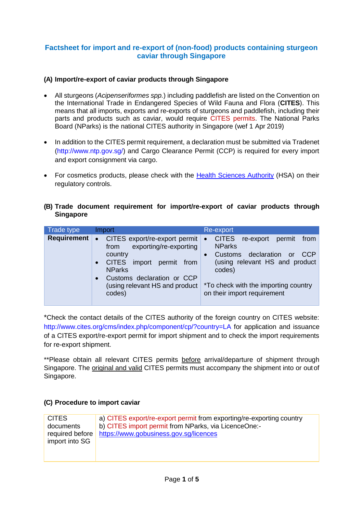# **Factsheet for import and re-export of (non-food) products containing sturgeon caviar through Singapore**

### **(A) Import/re-export of caviar products through Singapore**

- All sturgeons (*Acipenseriformes spp.*) including paddlefish are listed on the Convention on the International Trade in Endangered Species of Wild Fauna and Flora (**CITES**). This means that all imports, exports and re-exports of sturgeons and paddlefish, including their parts and products such as caviar, would require CITES permits. The National Parks Board (NParks) is the national CITES authority in Singapore (wef 1 Apr 2019)
- In addition to the CITES permit requirement, a declaration must be submitted via Tradenet [\(http://www.ntp.gov.sg/\) a](http://www.ntp.gov.sg/))nd Cargo Clearance Permit (CCP) is required for every import and export consignment via cargo.
- For cosmetics products, please check with the [Health Sciences Authority](http://www.hsa.gov.sg/) (HSA) on their regulatory controls.

### **(B) Trade document requirement for import/re-export of caviar products through Singapore**

| Trade type  | Import                                                                                                                                                                                                                                             | Re-export                                                                                                                                                                                                                                              |
|-------------|----------------------------------------------------------------------------------------------------------------------------------------------------------------------------------------------------------------------------------------------------|--------------------------------------------------------------------------------------------------------------------------------------------------------------------------------------------------------------------------------------------------------|
| Requirement | CITES export/re-export permit<br>$\bullet$<br>exporting/re-exporting<br>from<br>country<br><b>CITES</b><br>import permit from<br>$\bullet$<br><b>NParks</b><br>Customs declaration or CCP<br>$\bullet$<br>(using relevant HS and product<br>codes) | <b>CITES</b><br>re-export<br>permit<br>from<br>$\bullet$<br><b>NParks</b><br>declaration<br>CCP<br>Customs<br>$\alpha$<br>$\bullet$<br>(using relevant HS and product<br>codes)<br>*To check with the importing country<br>on their import requirement |

\*Check the contact details of the CITES authority of the foreign country on CITES website: [http://www.cites.org/cms/index.php/component/cp/?country=LA f](http://www.cites.org/cms/index.php/component/cp/?country=LA)or application and issuance of a CITES export/re-export permit for import shipment and to check the import requirements for re-export shipment.

\*\*Please obtain all relevant CITES permits before arrival/departure of shipment through Singapore. The original and valid CITES permits must accompany the shipment into or out of Singapore.

### **(C) Procedure to import caviar**

| <b>CITES</b><br>documents<br>required before<br>import into SG | a) CITES export/re-export permit from exporting/re-exporting country<br>b) CITES import permit from NParks, via LicenceOne:-<br>https://www.gobusiness.gov.sg/licences |
|----------------------------------------------------------------|------------------------------------------------------------------------------------------------------------------------------------------------------------------------|
|                                                                |                                                                                                                                                                        |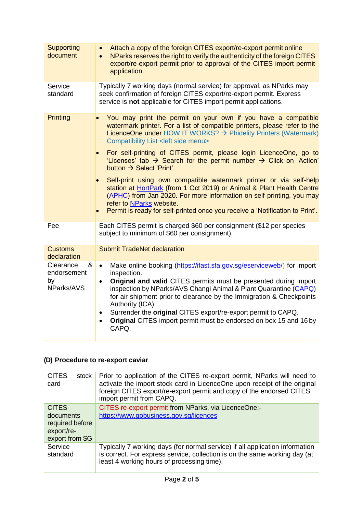| Supporting<br>document                            | Attach a copy of the foreign CITES export/re-export permit online<br>$\bullet$<br>NParks reserves the right to verify the authenticity of the foreign CITES<br>$\bullet$<br>export/re-export permit prior to approval of the CITES import permit<br>application.                                                                                                                                                                                                                                                                                                                                                                                                                                                                                                                                               |  |  |
|---------------------------------------------------|----------------------------------------------------------------------------------------------------------------------------------------------------------------------------------------------------------------------------------------------------------------------------------------------------------------------------------------------------------------------------------------------------------------------------------------------------------------------------------------------------------------------------------------------------------------------------------------------------------------------------------------------------------------------------------------------------------------------------------------------------------------------------------------------------------------|--|--|
| Service<br>standard                               | Typically 7 working days (normal service) for approval, as NParks may<br>seek confirmation of foreign CITES export/re-export permit. Express<br>service is not applicable for CITES import permit applications.                                                                                                                                                                                                                                                                                                                                                                                                                                                                                                                                                                                                |  |  |
| <b>Printing</b>                                   | You may print the permit on your own if you have a compatible<br>watermark printer. For a list of compatible printers, please refer to the<br>LicenceOne under HOW IT WORKS? $\rightarrow$ Phidelity Printers (Watermark)<br>Compatibility List < left side menu><br>For self-printing of CITES permit, please login LicenceOne, go to<br>'Licenses' tab $\rightarrow$ Search for the permit number $\rightarrow$ Click on 'Action'<br>button $\rightarrow$ Select 'Print'.<br>Self-print using own compatible watermark printer or via self-help<br>station at HortPark (from 1 Oct 2019) or Animal & Plant Health Centre<br>(APHC) from Jan 2020. For more information on self-printing, you may<br>refer to NParks website.<br>Permit is ready for self-printed once you receive a 'Notification to Print'. |  |  |
| Fee                                               | Each CITES permit is charged \$60 per consignment (\$12 per species<br>subject to minimum of \$60 per consignment).                                                                                                                                                                                                                                                                                                                                                                                                                                                                                                                                                                                                                                                                                            |  |  |
| <b>Customs</b><br>declaration                     | <b>Submit TradeNet declaration</b>                                                                                                                                                                                                                                                                                                                                                                                                                                                                                                                                                                                                                                                                                                                                                                             |  |  |
| Clearance<br>&<br>endorsement<br>by<br>NParks/AVS | Make online booking (https://ifast.sfa.gov.sg/eserviceweb/) for import<br>$\bullet$<br>inspection.<br>Original and valid CITES permits must be presented during import<br>$\bullet$<br>inspection by NParks/AVS Changi Animal & Plant Quarantine (CAPQ)<br>for air shipment prior to clearance by the Immigration & Checkpoints<br>Authority (ICA).<br>Surrender the original CITES export/re-export permit to CAPQ.<br>Original CITES import permit must be endorsed on box 15 and 16 by<br>CAPQ.                                                                                                                                                                                                                                                                                                             |  |  |

# **(D) Procedure to re-export caviar**

| <b>CITES</b><br>stock<br>card                                                | Prior to application of the CITES re-export permit, NParks will need to<br>activate the import stock card in LicenceOne upon receipt of the original<br>foreign CITES export/re-export permit and copy of the endorsed CITES<br>import permit from CAPQ. |
|------------------------------------------------------------------------------|----------------------------------------------------------------------------------------------------------------------------------------------------------------------------------------------------------------------------------------------------------|
| <b>CITES</b><br>documents<br>required before<br>export/re-<br>export from SG | CITES re-export permit from NParks, via LicenceOne:-<br>https://www.gobusiness.gov.sg/licences                                                                                                                                                           |
| Service<br>standard                                                          | Typically 7 working days (for normal service) if all application information<br>is correct. For express service, collection is on the same working day (at<br>least 4 working hours of processing time).                                                 |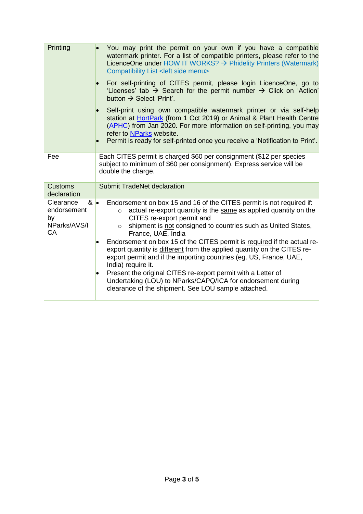| Printing                                                                   | You may print the permit on your own if you have a compatible<br>watermark printer. For a list of compatible printers, please refer to the<br>LicenceOne under HOW IT WORKS? $\rightarrow$ Phidelity Printers (Watermark)<br>Compatibility List < left side menu><br>For self-printing of CITES permit, please login LicenceOne, go to                                                                                                                                                                                                                                                                                                                                                                                      |
|----------------------------------------------------------------------------|-----------------------------------------------------------------------------------------------------------------------------------------------------------------------------------------------------------------------------------------------------------------------------------------------------------------------------------------------------------------------------------------------------------------------------------------------------------------------------------------------------------------------------------------------------------------------------------------------------------------------------------------------------------------------------------------------------------------------------|
|                                                                            | 'Licenses' tab $\rightarrow$ Search for the permit number $\rightarrow$ Click on 'Action'<br>button $\rightarrow$ Select 'Print'.                                                                                                                                                                                                                                                                                                                                                                                                                                                                                                                                                                                           |
|                                                                            | Self-print using own compatible watermark printer or via self-help<br>station at HortPark (from 1 Oct 2019) or Animal & Plant Health Centre<br>(APHC) from Jan 2020. For more information on self-printing, you may<br>refer to NParks website.<br>Permit is ready for self-printed once you receive a 'Notification to Print'.                                                                                                                                                                                                                                                                                                                                                                                             |
| Fee                                                                        | Each CITES permit is charged \$60 per consignment (\$12 per species<br>subject to minimum of \$60 per consignment). Express service will be<br>double the charge.                                                                                                                                                                                                                                                                                                                                                                                                                                                                                                                                                           |
| <b>Customs</b><br>declaration                                              | <b>Submit TradeNet declaration</b>                                                                                                                                                                                                                                                                                                                                                                                                                                                                                                                                                                                                                                                                                          |
| Clearance<br>$8 \bullet$<br>endorsement<br>by<br>NParks/AVS/I<br><b>CA</b> | Endorsement on box 15 and 16 of the CITES permit is not required if:<br>actual re-export quantity is the same as applied quantity on the<br>$\circ$<br>CITES re-export permit and<br>shipment is not consigned to countries such as United States,<br>$\circ$<br>France, UAE, India<br>Endorsement on box 15 of the CITES permit is required if the actual re-<br>export quantity is different from the applied quantity on the CITES re-<br>export permit and if the importing countries (eg. US, France, UAE,<br>India) require it.<br>Present the original CITES re-export permit with a Letter of<br>Undertaking (LOU) to NParks/CAPQ/ICA for endorsement during<br>clearance of the shipment. See LOU sample attached. |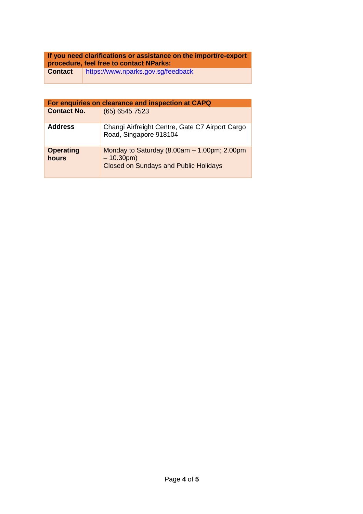# **If you need clarifications or assistance on the import/re-export procedure, feel free to contact NParks:**

**Contact** <https://www.nparks.gov.sg/feedback>

| For enquiries on clearance and inspection at CAPQ |                                                                                                                |  |  |
|---------------------------------------------------|----------------------------------------------------------------------------------------------------------------|--|--|
| <b>Contact No.</b>                                | (65) 6545 7523                                                                                                 |  |  |
| <b>Address</b>                                    | Changi Airfreight Centre, Gate C7 Airport Cargo<br>Road, Singapore 918104                                      |  |  |
| <b>Operating</b><br>hours                         | Monday to Saturday $(8.00am - 1.00pm; 2.00pm)$<br>$-10.30$ pm)<br><b>Closed on Sundays and Public Holidays</b> |  |  |